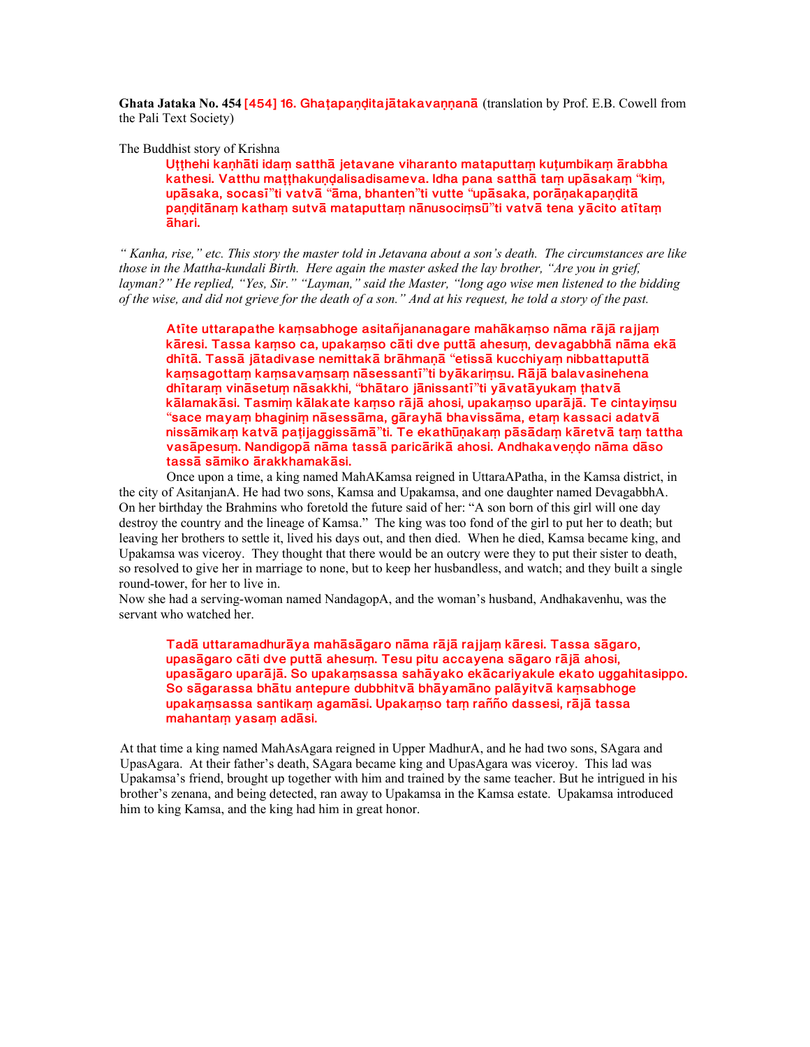**Ghata Jataka No. 454 [454] 16. Ghatapanditajātakavannanā** (translation by Prof. E.B. Cowell from the Pali Text Society)

The Buddhist story of Krishna

Utthehi kanhāti idam satthā jetavane viharanto mataputtam kutumbikam ārabbha **kathesi.** Vatthu matthakundalisadisameva. Idha pana satthā tam upāsakam "kim,  $u$ pāsaka, socasī"ti vatvā "āma, bhanten"ti vutte "upāsaka, porāņakapaņditā **panditānam katham sutvā mataputtam nānusocimsū"ti vatvā tena vācito atītam ±hari.**

*" Kanha, rise," etc. This story the master told in Jetavana about a son's death. The circumstances are like those in the Mattha-kundali Birth. Here again the master asked the lay brother, "Are you in grief, layman?" He replied, "Yes, Sir." "Layman," said the Master, "long ago wise men listened to the bidding of the wise, and did not grieve for the death of a son." And at his request, he told a story of the past.*

Atīte uttarapathe kamsabhoge asitañjananagare mahākamso nāma rājā rajjam kāresi. Tassa kamso ca, upakamso cāti dve puttā ahesum, devagabbhā nāma ekā  $d$ hītā. Tassā jātadivase nemittakā brāhmaņā "etissā kucchiyam nibbattaputtā **ka½sagotta½ ka½sava½sa½ n±sessant²**"**ti by±kari½su. R±j± balavasinehena dh²tara½ vin±setu½ n±sakkhi,** "**bh±taro j±nissant²**"**ti y±vat±yuka½ µhatv±** kālamakāsi. Tasmim kālakate kamso rājā ahosi, upakamso uparājā. Te cintayimsu "**sace maya½ bhagini½ n±sess±ma, g±rayh± bhaviss±ma, eta½ kassaci adatv± niss±mika½ katv± paµijaggiss±m±**"**ti. Te ekath³ºaka½ p±s±da½ k±retv± ta½ tattha** vasāpesum. Nandigopā nāma tassā paricārikā ahosi. Andhakavendo nāma dāso tassā sāmiko ārakkhamakāsi.

Once upon a time, a king named MahAKamsa reigned in UttaraAPatha, in the Kamsa district, in the city of AsitanjanA. He had two sons, Kamsa and Upakamsa, and one daughter named DevagabbhA. On her birthday the Brahmins who foretold the future said of her: "A son born of this girl will one day destroy the country and the lineage of Kamsa." The king was too fond of the girl to put her to death; but leaving her brothers to settle it, lived his days out, and then died. When he died, Kamsa became king, and Upakamsa was viceroy. They thought that there would be an outcry were they to put their sister to death, so resolved to give her in marriage to none, but to keep her husbandless, and watch; and they built a single round-tower, for her to live in.

Now she had a serving-woman named NandagopA, and the woman's husband, Andhakavenhu, was the servant who watched her.

Tadā uttaramadhurāya mahāsāgaro nāma rājā rajjam kāresi. Tassa sāgaro, upasāgaro cāti dve puttā ahesum. Tesu pitu accayena sāgaro rājā ahosi, upasāgaro uparājā. So upakamsassa sahāyako ekācariyakule ekato uggahitasippo. So sāgarassa bhātu antepure dubbhitvā bhāyamāno palāyitvā kaṃsabhoge upakamsassa santikam agamāsi. Upakamso tam rañño dassesi, rājā tassa mahantam yasam adāsi.

At that time a king named MahAsAgara reigned in Upper MadhurA, and he had two sons, SAgara and UpasAgara. At their father's death, SAgara became king and UpasAgara was viceroy. This lad was Upakamsa's friend, brought up together with him and trained by the same teacher. But he intrigued in his brother's zenana, and being detected, ran away to Upakamsa in the Kamsa estate. Upakamsa introduced him to king Kamsa, and the king had him in great honor.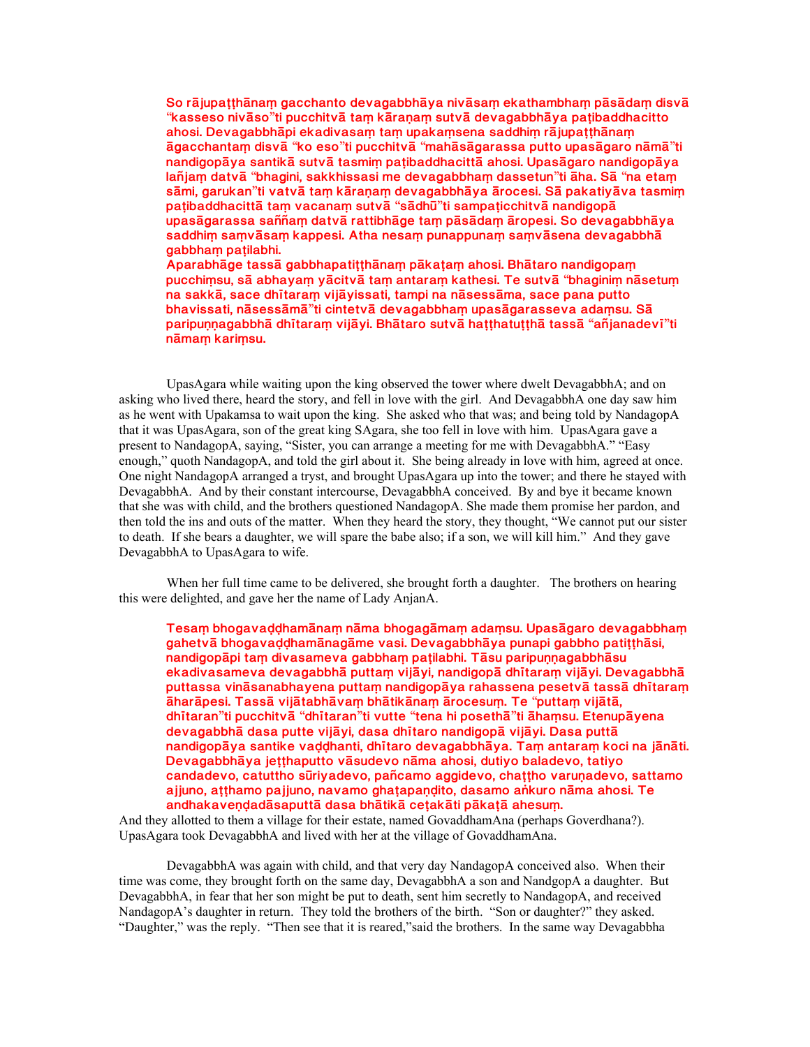So rājupatthānam gacchanto devagabbhāya nivāsam ekathambham pāsādam disvā "**kasseso niv±so**"**ti pucchitv± ta½ k±raºa½ sutv± devagabbh±ya paµibaddhacitto** ahosi. Devagabbhāpi ekadivasam tam upakamsena saddhim rājupatthānam **±gacchanta½ disv±** "**ko eso**"**ti pucchitv±** "**mah±s±garassa putto upas±garo n±m±**"**ti** nandigopāya santikā sutvā tasmim paṭibaddhacittā ahosi. Upasāgaro nandigopāya **lañja½ datv±** "**bhagini, sakkhissasi me devagabbha½ dassetun**"**ti ±ha. S±** "**na eta½ s±mi, garukan**"**ti vatv± ta½ k±raºa½ devagabbh±ya ±rocesi. S± pakatiy±va tasmi½ paµibaddhacitt± ta½ vacana½ sutv±** "**s±dh³**"**ti sampaµicchitv± nandigop±** upasāgarassa saññam datvā rattibhāge tam pāsādam āropesi. So devagabbhāya saddhim samvāsam kappesi. Atha nesam punappunam samvāsena devagabbhā **gabbha½ paµilabhi.** Aparabhāge tassā gabbhapatitthānam pākatam ahosi. Bhātaro nandigopam

**pucchi½su, s± abhaya½ y±citv± ta½ antara½ kathesi. Te sutv±** "**bhagini½ n±setu½** na sakkā, sace dhītaram vijāyissati, tampi na nāsessāma, sace pana putto **bhavissati, n±sess±m±**"**ti cintetv± devagabbha½ upas±garasseva ada½su. S± paripuººagabbh± dh²tara½ vij±yi. Bh±taro sutv± haµµhatuµµh± tass±** "**añjanadev²**"**ti n±ma½ kari½su.**

UpasAgara while waiting upon the king observed the tower where dwelt DevagabbhA; and on asking who lived there, heard the story, and fell in love with the girl. And DevagabbhA one day saw him as he went with Upakamsa to wait upon the king. She asked who that was; and being told by NandagopA that it was UpasAgara, son of the great king SAgara, she too fell in love with him. UpasAgara gave a present to NandagopA, saying, "Sister, you can arrange a meeting for me with DevagabbhA." "Easy enough," quoth NandagopA, and told the girl about it. She being already in love with him, agreed at once. One night NandagopA arranged a tryst, and brought UpasAgara up into the tower; and there he stayed with DevagabbhA. And by their constant intercourse, DevagabbhA conceived. By and bye it became known that she was with child, and the brothers questioned NandagopA. She made them promise her pardon, and then told the ins and outs of the matter. When they heard the story, they thought, "We cannot put our sister to death. If she bears a daughter, we will spare the babe also; if a son, we will kill him." And they gave DevagabbhA to UpasAgara to wife.

When her full time came to be delivered, she brought forth a daughter. The brothers on hearing this were delighted, and gave her the name of Lady AnjanA.

Tesam bhogavaddhamānam nāma bhogagāmam adamsu. Upasāgaro devagabbham gahetvā bhogavaddhamānagāme vasi. Devagabbhāya punapi gabbho patitthāsi, nandigopāpi tam divasameva gabbham patilabhi. Tāsu paripunnagabbhāsu ekadivasameva devagabbhā puttam vijāyi, nandigopā dhītaram vijāyi. Devagabbhā puttassa vināsanabhayena puttam nandigopāya rahassena pesetvā tassā dhītaram **±har±pesi. Tass± vij±tabh±va½ bh±tik±na½ ±rocesu½. Te** "**putta½ vij±t±, dh²taran**"**ti pucchitv±** "**dh²taran**"**ti vutte** "**tena hi poseth±**"**ti ±ha½su. Etenup±yena** devagabbhā dasa putte vijāyi, dasa dhītaro nandigopā vijāyi. Dasa puttā nandigopāya santike vaddhanti, dhītaro devagabbhāya. Tam antaram koci na jānāti. Devagabbhāya jetthaputto vāsudevo nāma ahosi, dutiyo baladevo, tatiyo candadevo, catuttho sūriyadevo, pañcamo aggidevo, chattho varunadevo, sattamo ajjuno, ațțhamo pajjuno, navamo ghațapaņdito, dasamo ankuro nāma ahosi. Te andhakaveņdadāsaputtā dasa bhātikā cețakāti pākațā ahesum.

And they allotted to them a village for their estate, named GovaddhamAna (perhaps Goverdhana?). UpasAgara took DevagabbhA and lived with her at the village of GovaddhamAna.

DevagabbhA was again with child, and that very day NandagopA conceived also. When their time was come, they brought forth on the same day, DevagabbhA a son and NandgopA a daughter. But DevagabbhA, in fear that her son might be put to death, sent him secretly to NandagopA, and received NandagopA's daughter in return. They told the brothers of the birth. "Son or daughter?" they asked. "Daughter," was the reply. "Then see that it is reared,"said the brothers. In the same way Devagabbha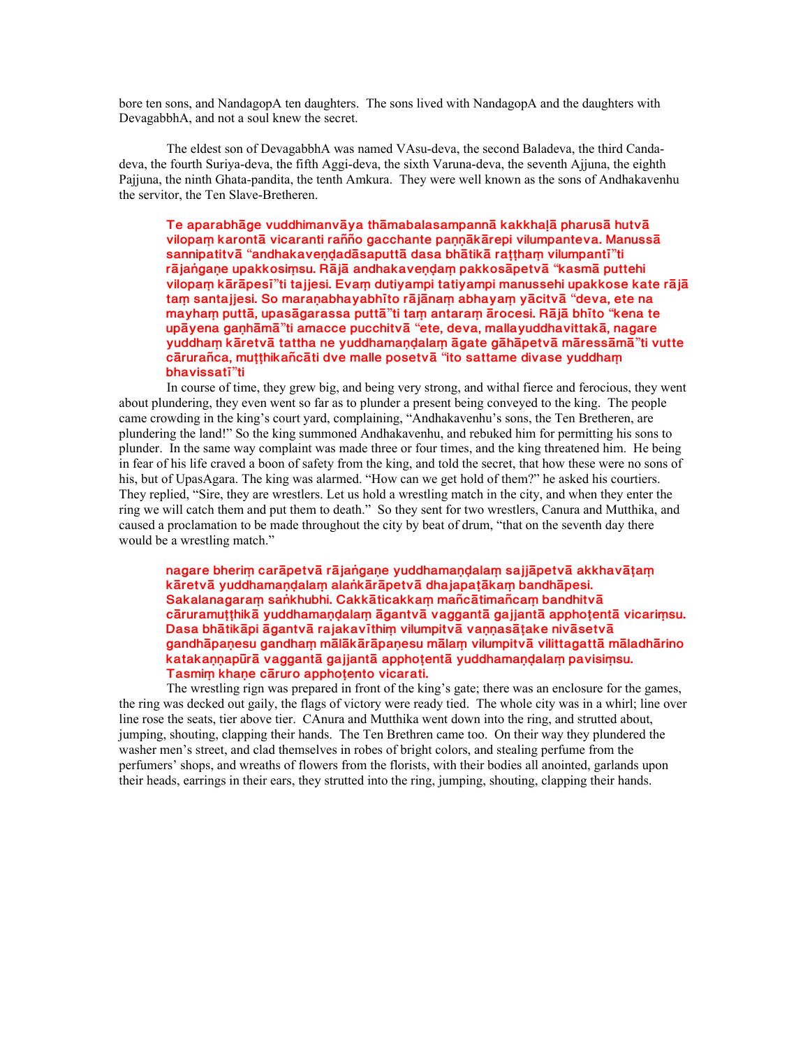bore ten sons, and NandagopA ten daughters. The sons lived with NandagopA and the daughters with DevagabbhA, and not a soul knew the secret.

The eldest son of DevagabbhA was named VAsu-deva, the second Baladeva, the third Candadeva, the fourth Suriya-deva, the fifth Aggi-deva, the sixth Varuna-deva, the seventh Ajjuna, the eighth Pajjuna, the ninth Ghata-pandita, the tenth Amkura. They were well known as the sons of Andhakavenhu the servitor, the Ten Slave-Bretheren.

Te aparabhāge vuddhimanvāya thāmabalasampannā kakkhalā pharusā hutvā vilopam karontā vicaranti rañño gacchante pannākārepi vilumpanteva. Manussā  $s$ annipatitvā "andhakaveņdadāsaputtā dasa bhātikā rattham vilumpantī"ti  $r\bar{a}$  jangane upakkosimsu. Rājā andhakavendam pakkosāpetvā "kasmā puttehi  $x$ ilopam kārāpesī"ti tajjesi. Evam dutiyampi tatiyampi manussehi upakkose kate rājā **ta½ santajjesi. So maraºabhayabh²to r±j±na½ abhaya½ y±citv±** "**deva, ete na mayha½ putt±, upas±garassa putt±**"**ti ta½ antara½ ±rocesi. R±j± bh²to** "**kena te up±yena gaºh±m±**"**ti amacce pucchitv±** "**ete, deva, mallayuddhavittak±, nagare yuddha½ k±retv± tattha ne yuddhamaº¹ala½ ±gate g±h±petv± m±ress±m±**"**ti vutte c±rurañca, muµµhikañc±ti dve malle posetv±** "**ito sattame divase yuddha½ bhavissat²**"**ti**

In course of time, they grew big, and being very strong, and withal fierce and ferocious, they went about plundering, they even went so far as to plunder a present being conveyed to the king. The people came crowding in the king's court yard, complaining, "Andhakavenhu's sons, the Ten Bretheren, are plundering the land!" So the king summoned Andhakavenhu, and rebuked him for permitting his sons to plunder. In the same way complaint was made three or four times, and the king threatened him. He being in fear of his life craved a boon of safety from the king, and told the secret, that how these were no sons of his, but of UpasAgara. The king was alarmed. "How can we get hold of them?" he asked his courtiers. They replied, "Sire, they are wrestlers. Let us hold a wrestling match in the city, and when they enter the ring we will catch them and put them to death." So they sent for two wrestlers, Canura and Mutthika, and caused a proclamation to be made throughout the city by beat of drum, "that on the seventh day there would be a wrestling match."

nagare bherim carāpetvā rājangaņe yuddhamaņdalam sajjāpetvā akkhavātam kāretvā yuddhamaņ**dalam alankārāpetvā dhajapatākam bandhāpesi**. Sakalanagaram sankhubhi. Cakkāticakkam mañcātimañcam bandhitvā cāruramutthikā yuddhamandalam āgantvā vaggantā gajjantā apphotentā vicarimsu. Dasa bhātikāpi āgantvā rajakavīthim vilumpitvā vannasātake nivāsetvā gandhāpanesu gandham mālākārāpanesu mālam vilumpitvā vilittagattā māladhārino katakannapūrā vaggantā gajjantā apphotentā yuddhamandalam pavisimsu. Tasmim khane cāruro apphotento vicarati.

The wrestling rign was prepared in front of the king's gate; there was an enclosure for the games, the ring was decked out gaily, the flags of victory were ready tied. The whole city was in a whirl; line over line rose the seats, tier above tier. CAnura and Mutthika went down into the ring, and strutted about, jumping, shouting, clapping their hands. The Ten Brethren came too. On their way they plundered the washer men's street, and clad themselves in robes of bright colors, and stealing perfume from the perfumers' shops, and wreaths of flowers from the florists, with their bodies all anointed, garlands upon their heads, earrings in their ears, they strutted into the ring, jumping, shouting, clapping their hands.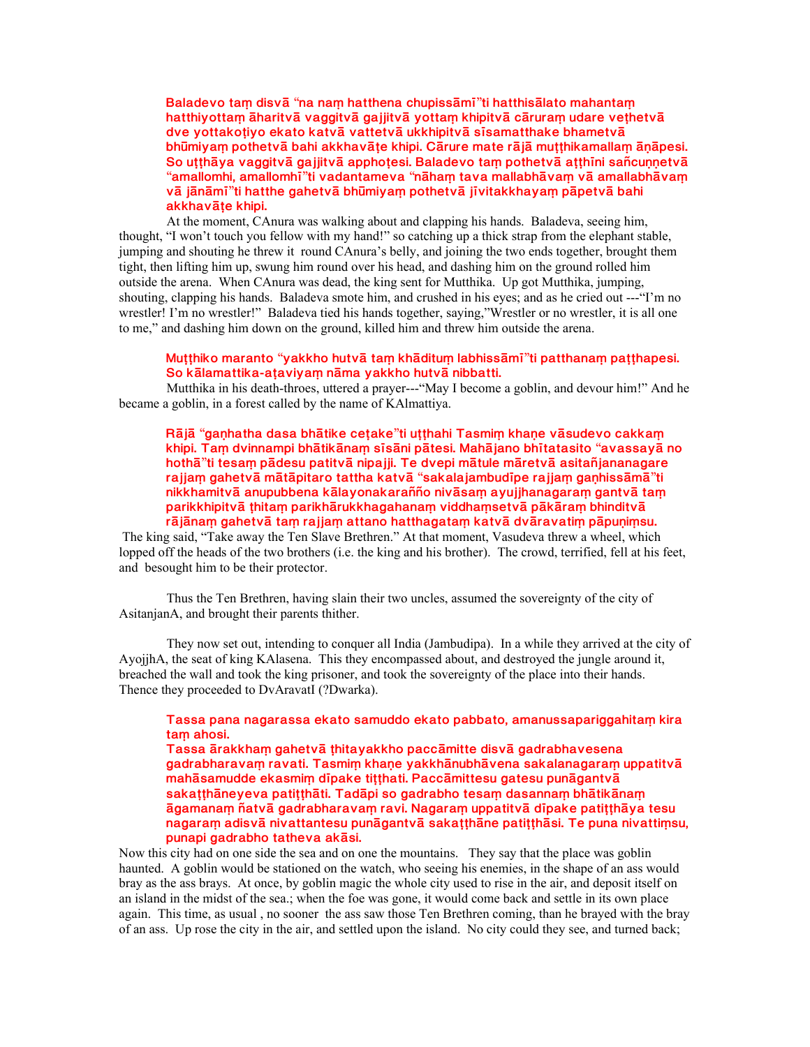**Baladevo ta½ disv±** "**na na½ hatthena chupiss±m²**"**ti hatthis±lato mahanta½** hatthiyottam āharitvā vaggitvā gajjitvā yottam khipitvā cāruram udare vethetvā dve yottakotiyo ekato katvā vattetvā ukkhipitvā sīsamatthake bhametvā **bhūmiyam pothetvā bahi akkhavāte khipi. Cārure mate rājā mutthikamallam ānāpesi.** So utthāya vaggitvā gajjitvā apphoțesi. Baladevo tam pothetvā atthīni sañcunnetvā "**amallomhi, amallomh²**"**ti vadantameva** "**n±ha½ tava mallabh±va½ v± amallabh±va½ v± j±n±m²**"**ti hatthe gahetv± bh³miya½ pothetv± j²vitakkhaya½ p±petv± bahi** akkhavāte khipi.

At the moment, CAnura was walking about and clapping his hands. Baladeva, seeing him, thought, "I won't touch you fellow with my hand!" so catching up a thick strap from the elephant stable, jumping and shouting he threw it round CAnura's belly, and joining the two ends together, brought them tight, then lifting him up, swung him round over his head, and dashing him on the ground rolled him outside the arena. When CAnura was dead, the king sent for Mutthika. Up got Mutthika, jumping, shouting, clapping his hands. Baladeva smote him, and crushed in his eyes; and as he cried out ---"I'm no wrestler! I'm no wrestler!" Baladeva tied his hands together, saying,"Wrestler or no wrestler, it is all one to me," and dashing him down on the ground, killed him and threw him outside the arena.

## **Muµµhiko maranto** "**yakkho hutv± ta½ kh±ditu½ labhiss±m²**"**ti patthana½ paµµhapesi.** So kālamattika-ataviyam nāma yakkho hutvā nibbatti.

Mutthika in his death-throes, uttered a prayer---"May I become a goblin, and devour him!" And he became a goblin, in a forest called by the name of KAlmattiya.

 $R\bar{a}$  jā "gaṇhatha dasa bhātike ceṭake"ti uṭṭhahi Tasmiṃ khaṇe vāsudevo cakkaṃ **khipi. Ta½ dvinnampi bh±tik±na½ s²s±ni p±tesi. Mah±jano bh²tatasito** "**avassay± no hoth±**"**ti tesa½ p±desu patitv± nipajji. Te dvepi m±tule m±retv± asitañjananagare rajja½ gahetv± m±t±pitaro tattha katv±** "**sakalajambud²pe rajja½ gaºhiss±m±**"**ti** nikkhamitvā anupubbena kālayonakarañño nivāsam ayujjhanagaram gantvā tam parikkhipitvā thitam parikhārukkhagahanam viddhamsetvā pākāram bhinditvā rājānam gahetvā tam rajjam attano hatthagatam katvā dvāravatim pāpuņimsu.

 The king said, "Take away the Ten Slave Brethren." At that moment, Vasudeva threw a wheel, which lopped off the heads of the two brothers (i.e. the king and his brother). The crowd, terrified, fell at his feet, and besought him to be their protector.

Thus the Ten Brethren, having slain their two uncles, assumed the sovereignty of the city of AsitanjanA, and brought their parents thither.

They now set out, intending to conquer all India (Jambudipa). In a while they arrived at the city of AyojjhA, the seat of king KAlasena. This they encompassed about, and destroyed the jungle around it, breached the wall and took the king prisoner, and took the sovereignty of the place into their hands. Thence they proceeded to DvAravatI (?Dwarka).

# **Tassa pana nagarassa ekato samuddo ekato pabbato, amanussapariggahita½ kira** tam ahosi.

Tassa ārakkham gahetvā thitayakkho paccāmitte disvā gadrabhavesena gadrabharavam ravati. Tasmim khane yakkhānubhāvena sakalanagaram uppatitvā mahāsamudde ekasmim dīpake titthati. Paccāmittesu gatesu punāgantvā sakatthāneyeva patitthāti. Tadāpi so gadrabho tesam dasannam bhātikānam  $\bar{a}$ gamanam ñatvā gadrabharavam ravi. Nagaram uppatitvā dīpake patițțhāya tesu nagaram adisvā nivattantesu punāgantvā sakatthāne patitthāsi. Te puna nivattimsu, **punapi gadrabho tatheva ak±si.** 

Now this city had on one side the sea and on one the mountains. They say that the place was goblin haunted. A goblin would be stationed on the watch, who seeing his enemies, in the shape of an ass would bray as the ass brays. At once, by goblin magic the whole city used to rise in the air, and deposit itself on an island in the midst of the sea.; when the foe was gone, it would come back and settle in its own place again. This time, as usual , no sooner the ass saw those Ten Brethren coming, than he brayed with the bray of an ass. Up rose the city in the air, and settled upon the island. No city could they see, and turned back;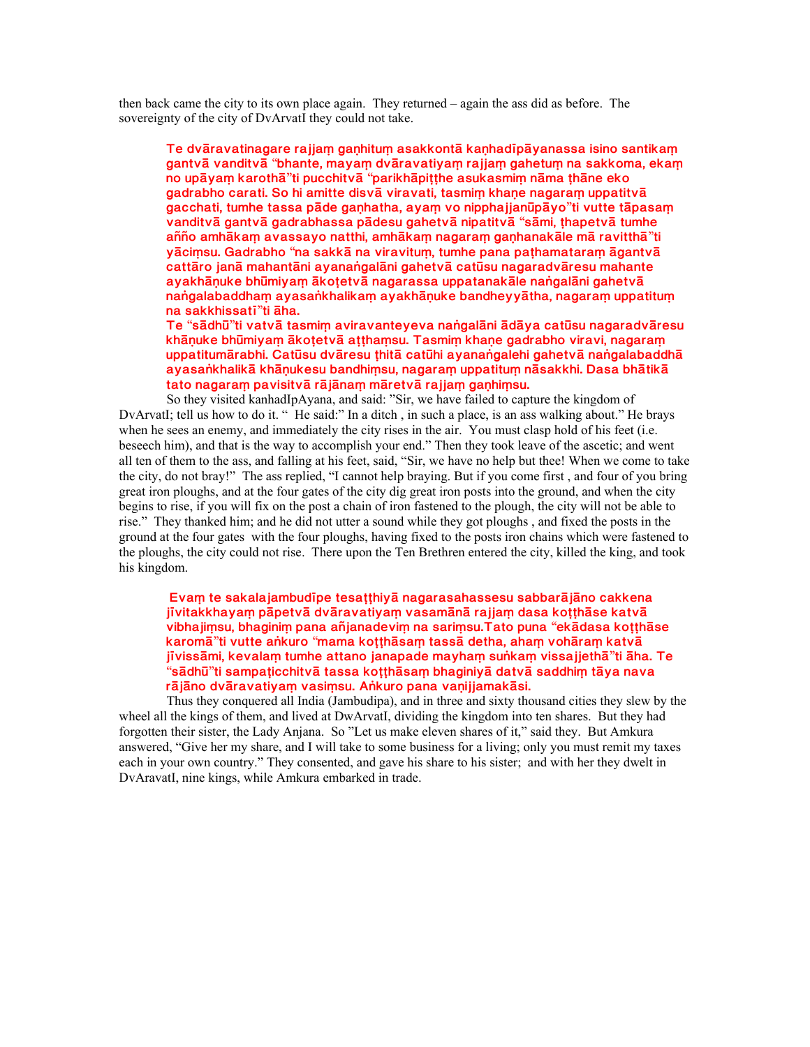then back came the city to its own place again. They returned – again the ass did as before. The sovereignty of the city of DvArvatI they could not take.

Te dvāravatinagare rajjam ganhitum asakkontā kanhadīpāyanassa isino santikam **gantv± vanditv±** "**bhante, maya½ dv±ravatiya½ rajja½ gahetu½ na sakkoma, eka½ no up±ya½ karoth±**"**ti pucchitv±** "**parikh±piµµhe asukasmi½ n±ma µh±ne eko** gadrabho carati. So hi amitte disvā viravati, tasmim khane nagaram uppatitvā **gacchati, tumhe tassa p±de gaºhatha, aya½ vo nipphajjan³p±yo**"**ti vutte t±pasa½ vanditv± gantv± gadrabhassa p±desu gahetv± nipatitv±** "**s±mi, µhapetv± tumhe añño amh±ka½ avassayo natthi, amh±ka½ nagara½ gaºhanak±le m± ravitth±**"**ti y±ci½su. Gadrabho** "**na sakk± na viravitu½, tumhe pana paµhamatara½ ±gantv±** cattāro janā mahantāni ayanaṅgalāni gahetvā catūsu nagaradvāresu mahante ayakhānuke bhūmiyam ākotetvā nagarassa uppatanakāle nangalāni gahetvā hangalabaddham ayasankhalikam ayakhānuke bandheyyātha, nagaram uppatitum **na sakkhissat²**"**ti ±ha.**

**Te** "**s±dh³**"**ti vatv± tasmi½ aviravanteyeva naªgal±ni ±d±ya cat³su nagaradv±resu** khāņuke bhūmiyam ākotetvā atthamsu. Tasmim khaņe gadrabho viravi, nagaram uppatitumārabhi. Catūsu dvāresu thitā catūhi ayanangalehi gahetvā nangalabaddhā ayasankhalikā khānukesu bandhimsu, nagaram uppatitum nāsakkhi. Dasa bhātikā tato nagaram pavisitvā rājānam māretvā rajjam ganhimsu.

So they visited kanhadIpAyana, and said: "Sir, we have failed to capture the kingdom of DvArvatI; tell us how to do it. " He said:" In a ditch , in such a place, is an ass walking about." He brays when he sees an enemy, and immediately the city rises in the air. You must clasp hold of his feet (i.e. beseech him), and that is the way to accomplish your end." Then they took leave of the ascetic; and went all ten of them to the ass, and falling at his feet, said, "Sir, we have no help but thee! When we come to take the city, do not bray!" The ass replied, "I cannot help braying. But if you come first , and four of you bring great iron ploughs, and at the four gates of the city dig great iron posts into the ground, and when the city begins to rise, if you will fix on the post a chain of iron fastened to the plough, the city will not be able to rise." They thanked him; and he did not utter a sound while they got ploughs , and fixed the posts in the ground at the four gates with the four ploughs, having fixed to the posts iron chains which were fastened to the ploughs, the city could not rise. There upon the Ten Brethren entered the city, killed the king, and took his kingdom.

 **Eva½ te sakalajambud²pe tesaµµhiy± nagarasahassesu sabbar±j±no cakkena** jīvitakkhayam pāpetvā dvāravatiyam vasamānā rajjam dasa kotthāse katvā **vibhaji½su, bhagini½ pana añjanadevi½ na sari½su.Tato puna** "**ek±dasa koµµh±se karom±**"**ti vutte aªkuro** "**mama koµµh±sa½ tass± detha, aha½ voh±ra½ katv± j²viss±mi, kevala½ tumhe attano janapade mayha½ suªka½ vissajjeth±**"**ti ±ha. Te** "**s±dh³**"**ti sampaµicchitv± tassa koµµh±sa½ bhaginiy± datv± saddhi½ t±ya nava** rājāno dvāravatiyam vasimsu. Ankuro pana vaņijjamakāsi.

Thus they conquered all India (Jambudipa), and in three and sixty thousand cities they slew by the wheel all the kings of them, and lived at DwArvatI, dividing the kingdom into ten shares. But they had forgotten their sister, the Lady Anjana. So "Let us make eleven shares of it," said they. But Amkura answered, "Give her my share, and I will take to some business for a living; only you must remit my taxes each in your own country." They consented, and gave his share to his sister; and with her they dwelt in DvAravatI, nine kings, while Amkura embarked in trade.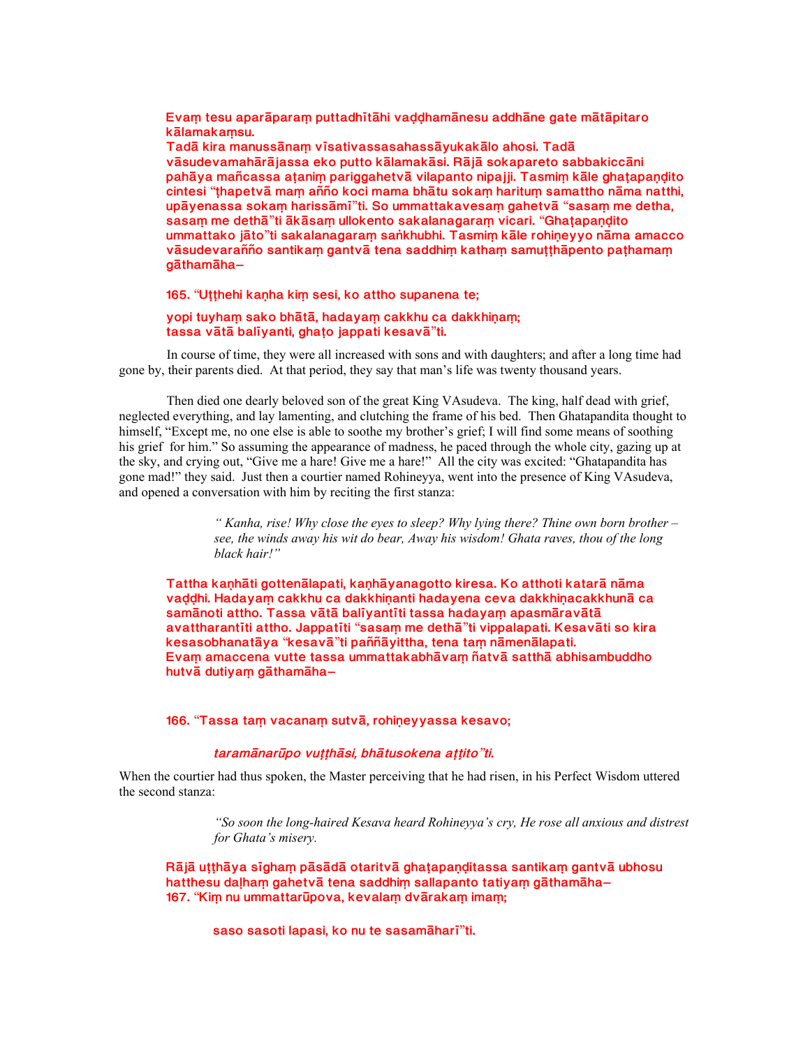Evam tesu aparāparam puttadhītāhi vaddhamānesu addhāne gate mātāpitaro **k±lamaka½su.**

Tadā kira manussānam vīsativassasahassāyukakālo ahosi. Tadā vāsudevamahārājassa eko putto kālamakāsi. Rājā sokapareto sabbakiccāni pahāya mañcassa atanim pariggahetvā vilapanto nipajji. Tasmim kāle ghatapandito **cintesi** "**µhapetv± ma½ añño koci mama bh±tu soka½ haritu½ samattho n±ma natthi, up±yenassa soka½ hariss±m²**"**ti. So ummattakavesa½ gahetv±** "**sasa½ me detha, sasam me dethā**"ti **ākāsam ullokento sakalanagaram vicari.** "Ghatapandito **ummattako j±to**"**ti sakalanagara½ saªkhubhi. Tasmi½ k±le rohiºeyyo n±ma amacco** vāsudevarañño santikam gantvā tena saddhim katham samutthāpento pathamam **g±tham±ha**–

## **165.** "Utthehi kanha kim sesi, ko attho supanena te;

### yopi tuyham sako bhātā, hadayam cakkhu ca dakkhinam; **tassa v±t± bal²yanti, ghaµo jappati kesav±**"**ti.**

In course of time, they were all increased with sons and with daughters; and after a long time had gone by, their parents died. At that period, they say that man's life was twenty thousand years.

Then died one dearly beloved son of the great King VAsudeva. The king, half dead with grief, neglected everything, and lay lamenting, and clutching the frame of his bed. Then Ghatapandita thought to himself, "Except me, no one else is able to soothe my brother's grief; I will find some means of soothing his grief for him." So assuming the appearance of madness, he paced through the whole city, gazing up at the sky, and crying out, "Give me a hare! Give me a hare!" All the city was excited: "Ghatapandita has gone mad!" they said. Just then a courtier named Rohineyya, went into the presence of King VAsudeva, and opened a conversation with him by reciting the first stanza:

> *" Kanha, rise! Why close the eyes to sleep? Why lying there? Thine own born brother – see, the winds away his wit do bear, Away his wisdom! Ghata raves, thou of the long black hair!"*

Tattha kanhāti gottenālapati, kanhāyanagotto kiresa. Ko atthoti katarā nāma vaddhi. Hadayam cakkhu ca dakkhinanti hadayena ceva dakkhinacakkhunā ca samānoti attho. Tassa vātā balīyantīti tassa hadayam apasmāravātā **avattharant²ti attho. Jappat²ti** "**sasa½ me deth±**"**ti vippalapati. Kesav±ti so kira kesasobhanat±ya** "**kesav±**"**ti paññ±yittha, tena ta½ n±men±lapati.** Evam amaccena vutte tassa ummattakabhāvam ñatvā satthā abhisambuddho **hutv± dutiya½ g±tham±ha**–

**166.** "**Tassa ta½ vacana½ sutv±, rohiºeyyassa kesavo;**

#### **taram±nar³po vuµµh±si, bh±tusokena aµµito**"**ti.**

When the courtier had thus spoken, the Master perceiving that he had risen, in his Perfect Wisdom uttered the second stanza:

> *"So soon the long-haired Kesava heard Rohineyya's cry, He rose all anxious and distrest for Ghata's misery.*

Rājā utthāya sīgham pāsādā otaritvā ghatapanditassa santikam gantvā ubhosu **hatthesu dalham gahetvā tena saddhim sallapanto tatiyam gāthamāha– 167.** "**Ki½ nu ummattar³pova, kevala½ dv±raka½ ima½;**

**saso sasoti lapasi, ko nu te sasam±har²**"**ti.**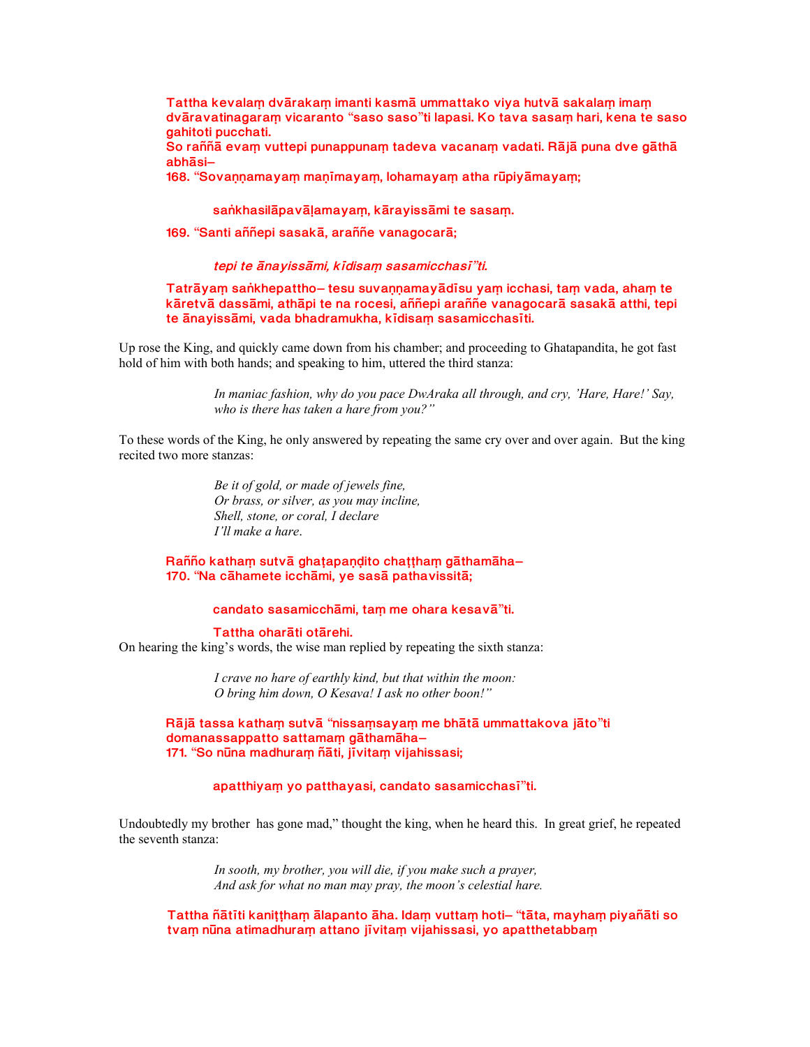Tattha kevalam dvārakam imanti kasmā ummattako viya hutvā sakalam imam **dv±ravatinagara½ vicaranto** "**saso saso**"**ti lapasi. Ko tava sasa½ hari, kena te saso gahitoti pucchati.**

So raññā evam vuttepi punappunam tadeva vacanam vadati. Rājā puna dve gāthā **abh±si**–

**168.** "Sovannamayam manimayam, lohamayam atha rūpiyāmayam;

### sankhasilāpavāļamayam, kārayissāmi te sasam.

**169.** "**Santi aññepi sasak±, araññe vanagocar±;**

#### **tepi te ±nayiss±mi, k²disa½ sasamicchas²**"**ti.**

**Tatrāyam saṅkhepattho– tesu suvaṇṇamayādīsu yaṃ icchasi, taṃ vada, ahaṃ te** kāretvā dassāmi, athāpi te na rocesi, aññepi araññe vanagocarā sasakā atthi, tepi te ānayissāmi, vada bhadramukha, kīdisam sasamicchasīti.

Up rose the King, and quickly came down from his chamber; and proceeding to Ghatapandita, he got fast hold of him with both hands; and speaking to him, uttered the third stanza:

> *In maniac fashion, why do you pace DwAraka all through, and cry, 'Hare, Hare!' Say, who is there has taken a hare from you?"*

To these words of the King, he only answered by repeating the same cry over and over again. But the king recited two more stanzas:

> *Be it of gold, or made of jewels fine, Or brass, or silver, as you may incline, Shell, stone, or coral, I declare I'll make a hare*.

**Rañño** katham sutvā ghaṭapaṇḍito chaṭṭhaṃ gāthamāha– **170.** "**Na c±hamete icch±mi, ye sas± pathavissit±;**

# **candato sasamicch±mi, ta½ me ohara kesav±**"**ti.**

Tattha oharāti otārehi.

On hearing the king's words, the wise man replied by repeating the sixth stanza:

*I crave no hare of earthly kind, but that within the moon: O bring him down, O Kesava! I ask no other boon!"*

**R±j± tassa katha½ sutv±** "**nissa½saya½ me bh±t± ummattakova j±to**"**ti domanassappatto sattamam gāthamāha-171.** "**So n³na madhura½ ñ±ti, j²vita½ vijahissasi;**

# **apatthiya½ yo patthayasi, candato sasamicchas²**"**ti.**

Undoubtedly my brother has gone mad," thought the king, when he heard this. In great grief, he repeated the seventh stanza:

> *In sooth, my brother, you will die, if you make such a prayer, And ask for what no man may pray, the moon's celestial hare.*

**Tattha ñ±t²ti kaniµµha½ ±lapanto ±ha. Ida½ vutta½ hoti**– "**t±ta, mayha½ piyañ±ti so** tvam nūna atimadhuram attano jī vitam vijahissasi, yo apatthetabbam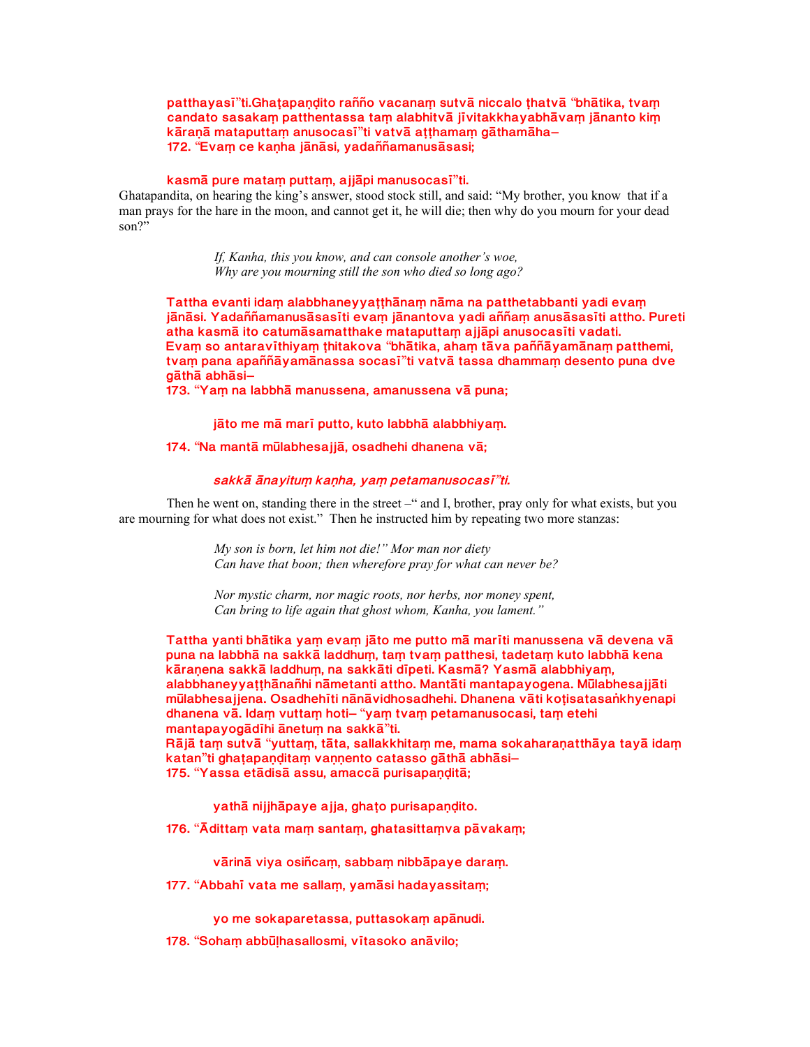patthayasi"ti.Ghațapaņḍito rañño vacanam sutvā niccalo țhatvā "bhātika, tvam candato sasakam patthentassa tam alabhitvā jī vitakkhayabhāvam jānanto kim **k±raº± mataputta½ anusocas²**"**ti vatv± aµµhama½ g±tham±ha**– **172.** "**Eva½ ce kaºha j±n±si, yadaññamanus±sasi;**

#### **kasm± pure mata½ putta½, ajj±pi manusocas²**"**ti.**

Ghatapandita, on hearing the king's answer, stood stock still, and said: "My brother, you know that if a man prays for the hare in the moon, and cannot get it, he will die; then why do you mourn for your dead son?"

> *If, Kanha, this you know, and can console another's woe, Why are you mourning still the son who died so long ago?*

Tattha evanti idam alabbhaneyyatthānam nāma na patthetabbanti yadi evam jānāsi. Yadaññamanusāsasīti evam jānantova yadi aññam anusāsasīti attho. Pureti atha kasmā ito catumāsamatthake mataputtam ajjāpi anusocasīti vadati. **Eva½ so antarav²thiya½ µhitakova** "**bh±tika, aha½ t±va paññ±yam±na½ patthemi, tva½ pana apaññ±yam±nassa socas²**"**ti vatv± tassa dhamma½ desento puna dve g±th± abh±si**–

**173.** "**Ya½ na labbh± manussena, amanussena v± puna;**

#### jāto me mā marī putto, kuto labbhā alabbhiyam.

### **174.** "**Na mant± m³labhesajj±, osadhehi dhanena v±;**

## **sakk± ±nayitu½ kaºha, ya½ petamanusocas²**"**ti.**

Then he went on, standing there in the street –" and I, brother, pray only for what exists, but you are mourning for what does not exist." Then he instructed him by repeating two more stanzas:

> *My son is born, let him not die!" Mor man nor diety Can have that boon; then wherefore pray for what can never be?*

*Nor mystic charm, nor magic roots, nor herbs, nor money spent, Can bring to life again that ghost whom, Kanha, you lament."*

Tattha yanti bhātika yam evam jāto me putto mā marīti manussena vā devena vā puna na labbhā na sakkā laddhum, tam tvam patthesi, tadetam kuto labbhā kena kāraņena sakkā laddhum, na sakkāti dīpeti. Kasmā? Yasmā alabbhiyam, alabbhaneyyaṭṭhānañhi nāmetanti attho. Mantāti mantapayogena. Mūlabhesajjāti **m³labhesajjena. Osadheh²ti n±n±vidhosadhehi. Dhanena v±ti koµisatasaªkhyenapi dhanena v±. Ida½ vutta½ hoti**– "**ya½ tva½ petamanusocasi, ta½ etehi mantapayog±d²hi ±netu½ na sakk±**"**ti. R** $\bar{a}$  **ja i** am sutv $\bar{a}$  "yuttam, tāta, sallakkhitam me, mama sokaharanatthāya tayā idam **katan**"ti ghatapanditam vannento catasso gāthā abhāsi-175. "Yassa etādisā assu, amaccā purisapanditā;

yathā nijjhāpaye ajja, ghațo purisapaņdito.

**176.** "**¾ditta½ vata ma½ santa½, ghatasitta½va p±vaka½;**

vārinā viya osiñcam, sabbam nibbāpaye daram.

**177.** "**Abbah² vata me salla½, yam±si hadayassita½;**

yo me sokaparetassa, puttasokam apānudi.

**178.** "**Soha½ abb³¼hasallosmi, v²tasoko an±vilo;**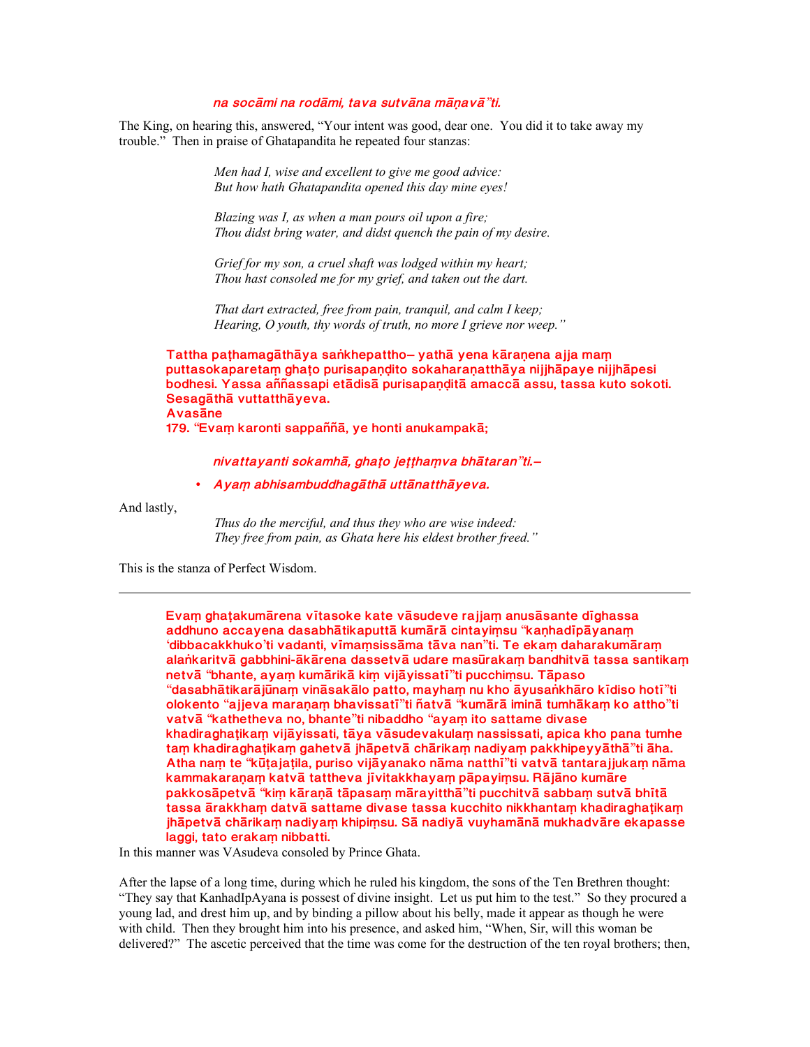### na socāmi na rodāmi, tava sutvāna māņavā"ti.

The King, on hearing this, answered, "Your intent was good, dear one. You did it to take away my trouble." Then in praise of Ghatapandita he repeated four stanzas:

> Men had I, wise and excellent to give me good advice: But how hath Ghatapandita opened this day mine eyes!

Blazing was I, as when a man pours oil upon a fire; Thou didst bring water, and didst quench the pain of my desire.

Grief for my son, a cruel shaft was lodged within my heart; Thou hast consoled me for my grief, and taken out the dart.

That dart extracted, free from pain, tranquil, and calm I keep; Hearing,  $O$  youth, thy words of truth, no more I grieve nor weep."

Tattha pathamagāthāya sankhepattho-yathā yena kāraņena ajja mam puttasokaparetam ghato purisapandito sokaharanatthāya nijihāpaye nijihāpesi bodhesi. Yassa aññassapi etādisā purisapaņditā amaccā assu, tassa kuto sokoti. Sesagāthā vuttatthāyeva. **Avasane** 

179. "Evam karonti sappaññā, ye honti anukampakā;

nivattayanti sokamhā, ghato jetthamva bhātaran"ti.-

• Ayam abhisambuddhagāthā uttānatthāyeva.

And lastly,

Thus do the merciful, and thus they who are wise indeed: They free from pain, as Ghata here his eldest brother freed."

This is the stanza of Perfect Wisdom.

Evam ghatakumārena vītasoke kate vāsudeve rajjam anusāsante dīghassa addhuno accayena dasabhātikaputtā kumārā cintayiṃsu "kaṇhadīpāyanaṃ 'dibbacakkhuko'ti vadanti, vīmamsissāma tāva nan"ti. Te ekam daharakumāram alankaritvā gabbhini-ākārena dassetvā udare masūrakam bandhitvā tassa santikam netvā "bhante, ayam kumārikā kim vijāyissatī"ti pucchimsu. Tāpaso "dasabhātikarājūnaṃ vināsakālo patto, mayhaṃ nu kho āyusaṅkhāro kīdiso hotī"ti olokento "ajjeva maranam bhavissatī"ti ñatvā "kumārā iminā tumhākam ko attho"ti vatvā "kathetheva no, bhante"ti nibaddho "ayam ito sattame divase khadiraghatikam vijāyissati, tāya vāsudevakulam nassissati, apica kho pana tumhe tam khadiraghatikam gahetvā jhāpetvā chārikam nadiyam pakkhipeyyāthā"ti āha. Atha nam te "kūtajatila, puriso vijāyanako nāma natthī"ti vatvā tantarajjukam nāma kammakaranam katvā tattheva jīvitakkhayam pāpayimsu. Rājāno kumāre pakkosāpetvā "kim kāraņā tāpasam mārayitthā"ti pucchitvā sabbam sutvā bhītā tassa ärakkham datvä sattame divase tassa kucchito nikkhantam khadiraghatikam jhāpetvā chārikaṃ nadiyaṃ khipiṃsu. Sā nadiyā vuyhamānā mukhadvāre ekapasse laggi, tato erakam nibbatti.

In this manner was VAsudeva consoled by Prince Ghata.

After the lapse of a long time, during which he ruled his kingdom, the sons of the Ten Brethren thought: "They say that KanhadIpAyana is possest of divine insight. Let us put him to the test." So they procured a young lad, and drest him up, and by binding a pillow about his belly, made it appear as though he were with child. Then they brought him into his presence, and asked him, "When, Sir, will this woman be delivered?" The ascetic perceived that the time was come for the destruction of the ten royal brothers; then,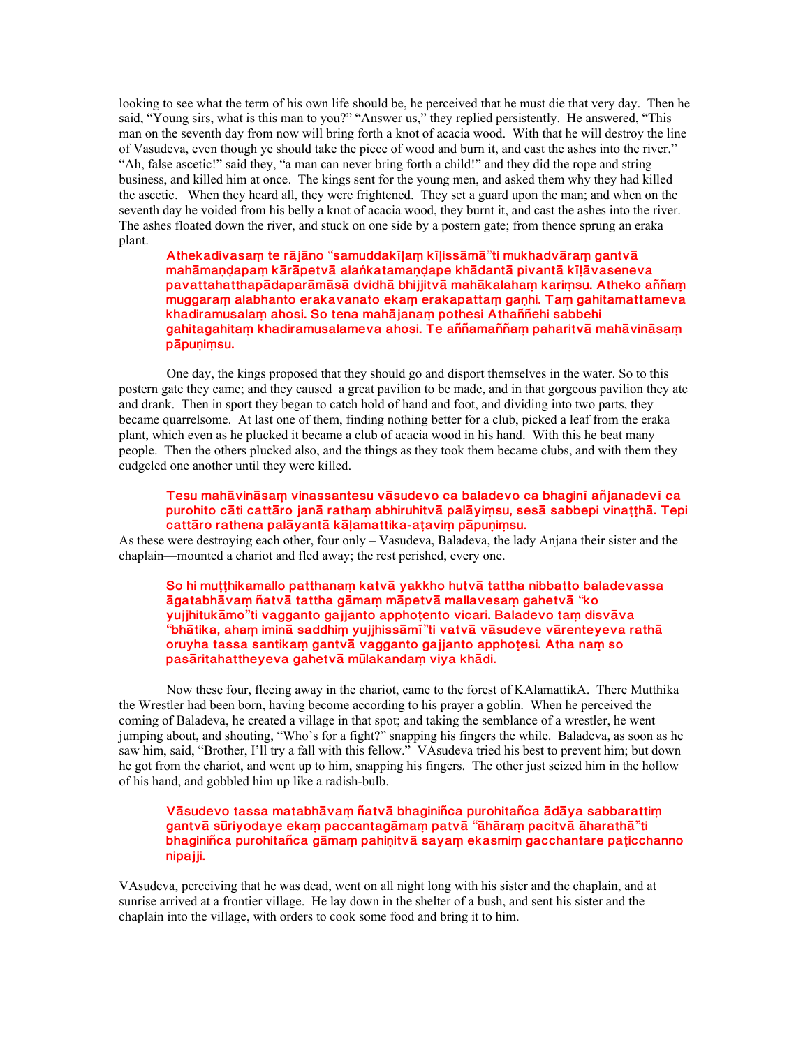looking to see what the term of his own life should be, he perceived that he must die that very day. Then he said, "Young sirs, what is this man to you?" "Answer us," they replied persistently. He answered, "This man on the seventh day from now will bring forth a knot of acacia wood. With that he will destroy the line of Vasudeva, even though ye should take the piece of wood and burn it, and cast the ashes into the river." "Ah, false ascetic!" said they, "a man can never bring forth a child!" and they did the rope and string business, and killed him at once. The kings sent for the young men, and asked them why they had killed the ascetic. When they heard all, they were frightened. They set a guard upon the man; and when on the seventh day he voided from his belly a knot of acacia wood, they burnt it, and cast the ashes into the river. The ashes floated down the river, and stuck on one side by a postern gate; from thence sprung an eraka plant.

**Athekadivasa½ te r±j±no** "**samuddak²¼a½ k²¼iss±m±**"**ti mukhadv±ra½ gantv±** mahāmandapam kārāpetvā alaṅkatamandape khādantā pivantā kilāvaseneva pavattahatthapādaparāmāsā dvidhā bhijjitvā mahākalaham karimsu. Atheko aññam muggaram alabhanto erakavanato ekam erakapattam ganhi. Tam gahitamattameva **khadiramusala½ ahosi. So tena mah±jana½ pothesi Athaññehi sabbehi** gahitagahitam khadiramusalameva ahosi. Te aññamaññam paharitvā mahāvināsam  $p\bar{a}$ punimsu.

One day, the kings proposed that they should go and disport themselves in the water. So to this postern gate they came; and they caused a great pavilion to be made, and in that gorgeous pavilion they ate and drank. Then in sport they began to catch hold of hand and foot, and dividing into two parts, they became quarrelsome. At last one of them, finding nothing better for a club, picked a leaf from the eraka plant, which even as he plucked it became a club of acacia wood in his hand. With this he beat many people. Then the others plucked also, and the things as they took them became clubs, and with them they cudgeled one another until they were killed.

## **Tesu mah±vin±sa½ vinassantesu v±sudevo ca baladevo ca bhagin² añjanadev² ca** purohito cāti cattāro janā ratham abhiruhitvā palāyimsu, sesā sabbepi vinatthā. Tepi cattāro rathena palāyantā kāļamattika-atavim pāpuņimsu.

As these were destroying each other, four only – Vasudeva, Baladeva, the lady Anjana their sister and the chaplain—mounted a chariot and fled away; the rest perished, every one.

So hi mutthikamallo patthanam katvā yakkho hutvā tattha nibbatto baladevassa **±gatabh±va½ ñatv± tattha g±ma½ m±petv± mallavesa½ gahetv±** "**ko yujjhituk±mo**"**ti vagganto gajjanto apphoµento vicari. Baladevo ta½ disv±va** "**bh±tika, aha½ imin± saddhi½ yujjhiss±m²**"**ti vatv± v±sudeve v±renteyeva rath± oruyha tassa santika½ gantv± vagganto gajjanto apphoµesi. Atha na½ so** pasāritahattheyeva gahetvā mūlakandam viya khādi.

Now these four, fleeing away in the chariot, came to the forest of KAlamattikA. There Mutthika the Wrestler had been born, having become according to his prayer a goblin. When he perceived the coming of Baladeva, he created a village in that spot; and taking the semblance of a wrestler, he went jumping about, and shouting, "Who's for a fight?" snapping his fingers the while. Baladeva, as soon as he saw him, said, "Brother, I'll try a fall with this fellow." VAsudeva tried his best to prevent him; but down he got from the chariot, and went up to him, snapping his fingers. The other just seized him in the hollow of his hand, and gobbled him up like a radish-bulb.

# Vāsudevo tassa matabhāvam ñatvā bhaginiñca purohitañca ādāya sabbarattim **gantv± s³riyodaye eka½ paccantag±ma½ patv±** "**±h±ra½ pacitv± ±harath±**"**ti** bhaginiñca purohitañca gāmaṃ pahiṇitvā sayaṃ ekasmiṃ gacchantare paṭicchanno **nipajji.**

VAsudeva, perceiving that he was dead, went on all night long with his sister and the chaplain, and at sunrise arrived at a frontier village. He lay down in the shelter of a bush, and sent his sister and the chaplain into the village, with orders to cook some food and bring it to him.